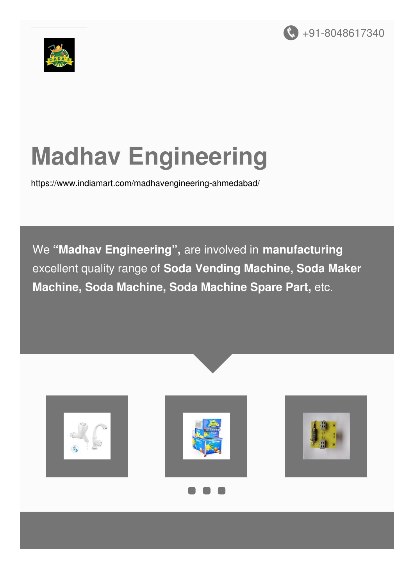



# **Madhav Engineering**

<https://www.indiamart.com/madhavengineering-ahmedabad/>

We **"Madhav Engineering" ,** are involved in **manufacturing** excellent quality range of **Soda Vending Machine, Soda Maker Machine, Soda Machine, Soda Machine Spare Part,** etc.









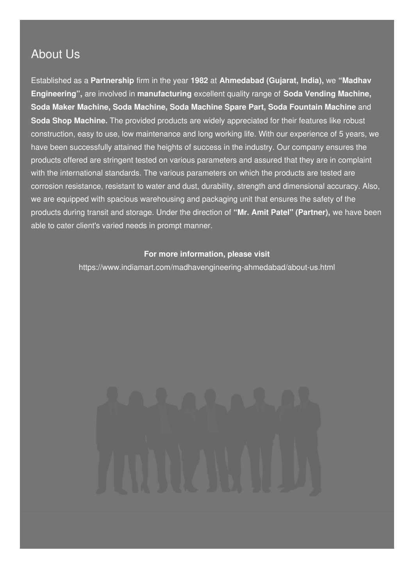### About Us

Established as a **Partnership** firm in the year **1982** at **Ahmedabad (Gujarat, India),** we **"Madhav Engineering",** are involved in **manufacturing** excellent quality range of **Soda Vending Machine, Soda Maker Machine, Soda Machine, Soda Machine Spare Part, Soda Fountain Machine** and **Soda Shop Machine.** The provided products are widely appreciated for their features like robust construction, easy to use, low maintenance and long working life. With our experience of 5 years, we have been successfully attained the heights of success in the industry. Our company ensures the products offered are stringent tested on various parameters and assured that they are in complaint with the international standards. The various parameters on which the products are tested are corrosion resistance, resistant to water and dust, durability, strength and dimensional accuracy. Also, we are equipped with spacious warehousing and packaging unit that ensures the safety of the products during transit and storage. Under the direction of **"Mr. Amit Patel" (Partner),** we have been able to cater client's varied needs in prompt manner.

#### **For more information, please visit**

<https://www.indiamart.com/madhavengineering-ahmedabad/about-us.html>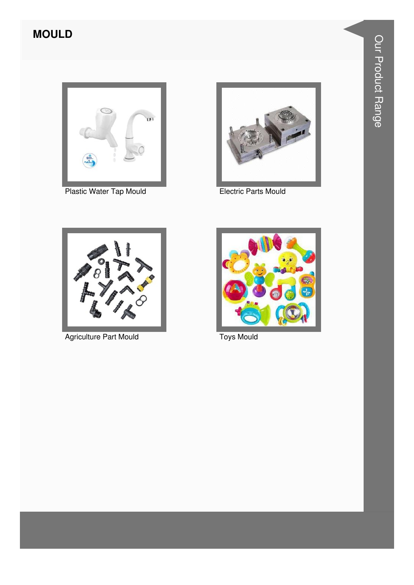### **MOULD**



Plastic Water Tap Mould



**Electric Parts Mould** 



Agriculture Part Mould



**Toys Mould**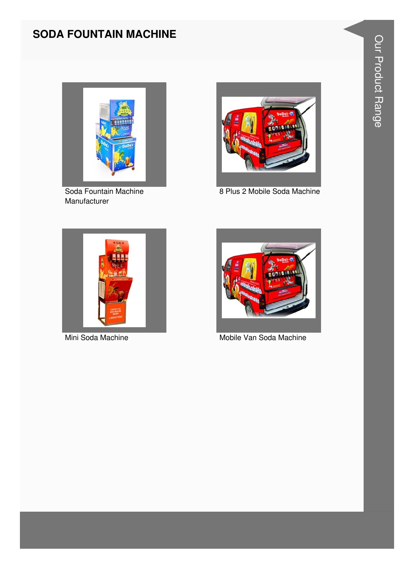#### **SODA FOUNTAIN MACHINE**



Soda Fountain Machine Manufacturer



8 Plus 2 Mobile Soda Machine





Mini Soda Machine Mobile Van Soda Machine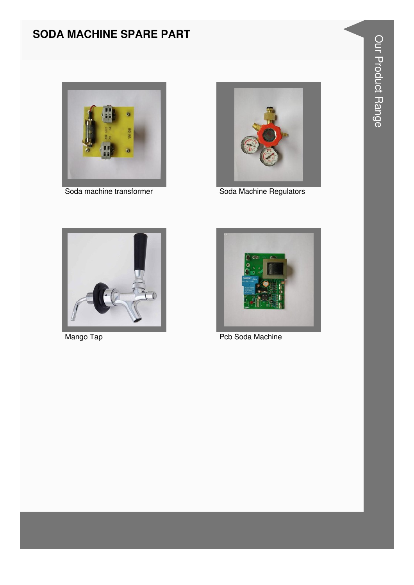#### **SODA MACHINE SPARE PART**





Soda machine transformer Soda Machine Regulators





Mango Tap **Pcb Soda Machine**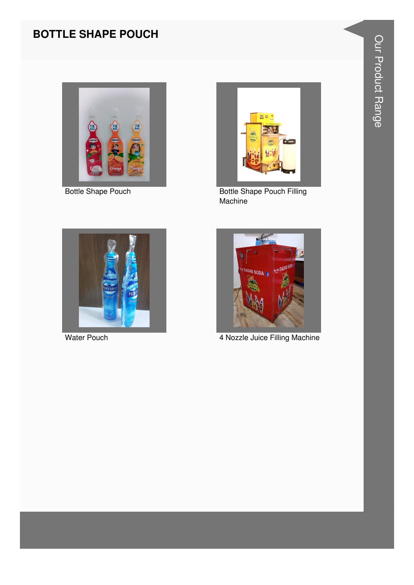### **BOTTLE SHAPE POUCH**



**Bottle Shape Pouch** 



**Bottle Shape Pouch Filling** Machine



**Water Pouch** 



4 Nozzle Juice Filling Machine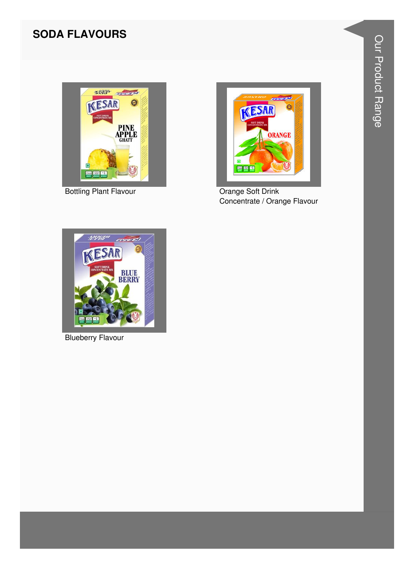#### **SODA FLAVOURS**



**Bottling Plant Flavour** 



Orange Soft Drink Concentrate / Orange Flavour



**Blueberry Flavour**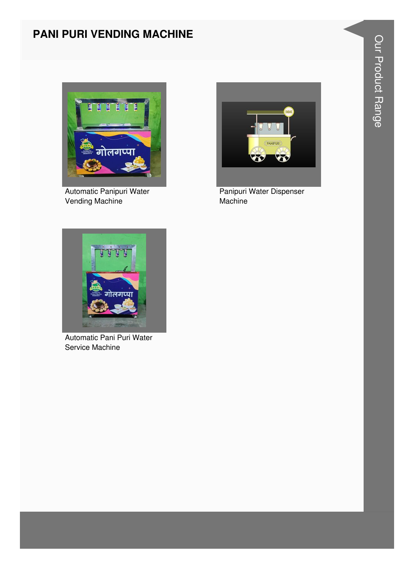#### PANI PURI VENDING MACHINE



Automatic Panipuri Water Vending Machine



Panipuri Water Dispenser Machine



Automatic Pani Puri Water Service Machine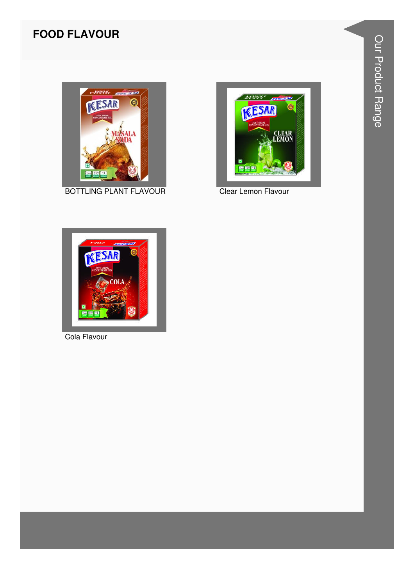#### **FOOD FLAVOUR**



**BOTTLING PLANT FLAVOUR** 



Clear Lemon Flavour



Cola Flavour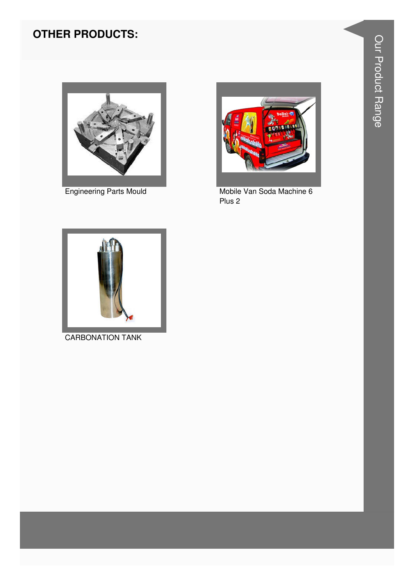### **OTHER PRODUCTS:**



**Engineering Parts Mould** 



Mobile Van Soda Machine 6 Plus<sub>2</sub>



**CARBONATION TANK**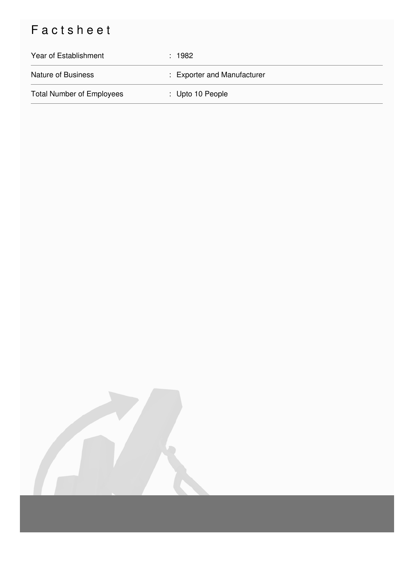## Factsheet

| Year of Establishment            | : 1982                      |
|----------------------------------|-----------------------------|
| <b>Nature of Business</b>        | : Exporter and Manufacturer |
| <b>Total Number of Employees</b> | : Upto 10 People            |